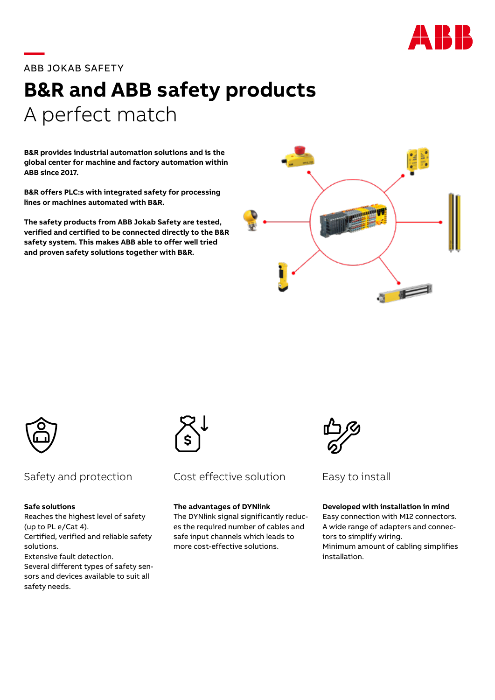

# **—**ABB JOKAB SAFETY

# **B&R and ABB safety products**  A perfect match

**B&R provides industrial automation solutions and is the global center for machine and factory automation within ABB since 2017.**

**B&R offers PLC:s with integrated safety for processing lines or machines automated with B&R.**

**The safety products from ABB Jokab Safety are tested, verified and certified to be connected directly to the B&R safety system. This makes ABB able to offer well tried and proven safety solutions together with B&R.**





#### **Safe solutions**

Reaches the highest level of safety (up to PL e/Cat 4). Certified, verified and reliable safety solutions. Extensive fault detection. Several different types of safety sen-

sors and devices available to suit all safety needs.



#### Safety and protection Cost effective solution Easy to install Cost effective solution

### **The advantages of DYNlink**

The DYNlink signal significantly reduces the required number of cables and safe input channels which leads to more cost-effective solutions.



#### **Developed with installation in mind**

Easy connection with M12 connectors. A wide range of adapters and connectors to simplify wiring. Minimum amount of cabling simplifies installation.